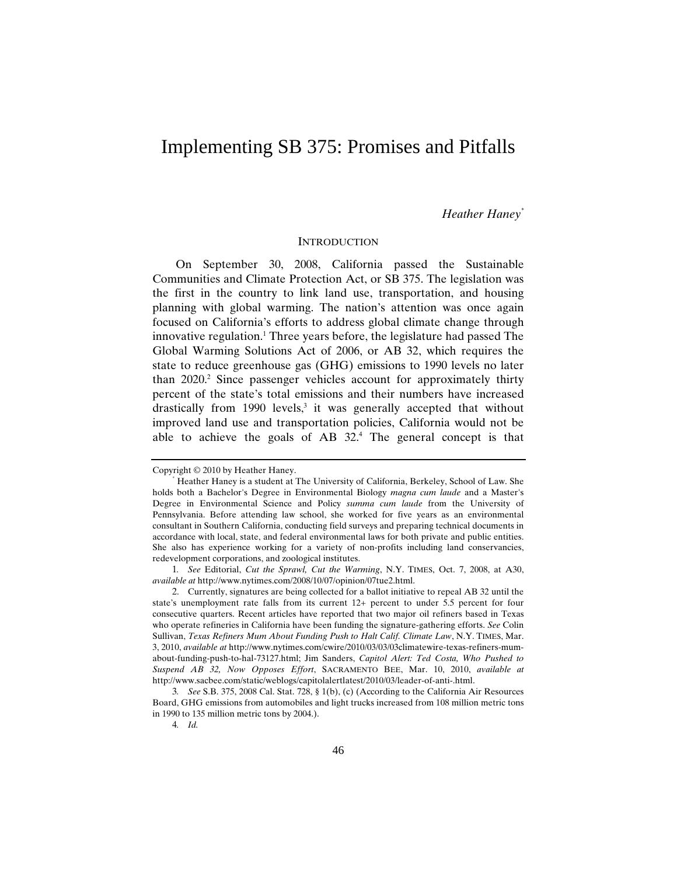# Implementing SB 375: Promises and Pitfalls

## *Heather Haney\**

#### **INTRODUCTION**

On September 30, 2008, California passed the Sustainable Communities and Climate Protection Act, or SB 375. The legislation was the first in the country to link land use, transportation, and housing planning with global warming. The nation's attention was once again focused on California's efforts to address global climate change through innovative regulation.<sup>1</sup> Three years before, the legislature had passed The Global Warming Solutions Act of 2006, or AB 32, which requires the state to reduce greenhouse gas (GHG) emissions to 1990 levels no later than 2020.<sup>2</sup> Since passenger vehicles account for approximately thirty percent of the state's total emissions and their numbers have increased drastically from  $1990$  levels,<sup>3</sup> it was generally accepted that without improved land use and transportation policies, California would not be able to achieve the goals of AB  $32<sup>4</sup>$ . The general concept is that

Copyright  $@$  2010 by Heather Haney.

Heather Haney is a student at The University of California, Berkeley, School of Law. She holds both a Bachelor's Degree in Environmental Biology *magna cum laude* and a Master's Degree in Environmental Science and Policy *summa cum laude* from the University of Pennsylvania. Before attending law school, she worked for five years as an environmental consultant in Southern California, conducting field surveys and preparing technical documents in accordance with local, state, and federal environmental laws for both private and public entities. She also has experience working for a variety of non-profits including land conservancies, redevelopment corporations, and zoological institutes.

<sup>1</sup>*. See* Editorial, *Cut the Sprawl, Cut the Warming*, N.Y. TIMES, Oct. 7, 2008, at A30, *available at* http://www.nytimes.com/2008/10/07/opinion/07tue2.html.

<sup>2.</sup> Currently, signatures are being collected for a ballot initiative to repeal AB 32 until the state's unemployment rate falls from its current 12+ percent to under 5.5 percent for four consecutive quarters. Recent articles have reported that two major oil refiners based in Texas who operate refineries in California have been funding the signature-gathering efforts. *See* Colin Sullivan, *Texas Refiners Mum About Funding Push to Halt Calif. Climate Law*, N.Y. TIMES, Mar. 3, 2010, *available at* http://www.nytimes.com/cwire/2010/03/03/03climatewire-texas-refiners-mumabout-funding-push-to-hal-73127.html; Jim Sanders, *Capitol Alert: Ted Costa, Who Pushed to Suspend AB 32, Now Opposes Effort*, SACRAMENTO BEE, Mar. 10, 2010, *available at*  http://www.sacbee.com/static/weblogs/capitolalertlatest/2010/03/leader-of-anti-.html.

<sup>3</sup>*. See* S.B. 375, 2008 Cal. Stat. 728, § 1(b), (c) (According to the California Air Resources Board, GHG emissions from automobiles and light trucks increased from 108 million metric tons in 1990 to 135 million metric tons by 2004.).

<sup>4</sup>*. Id.*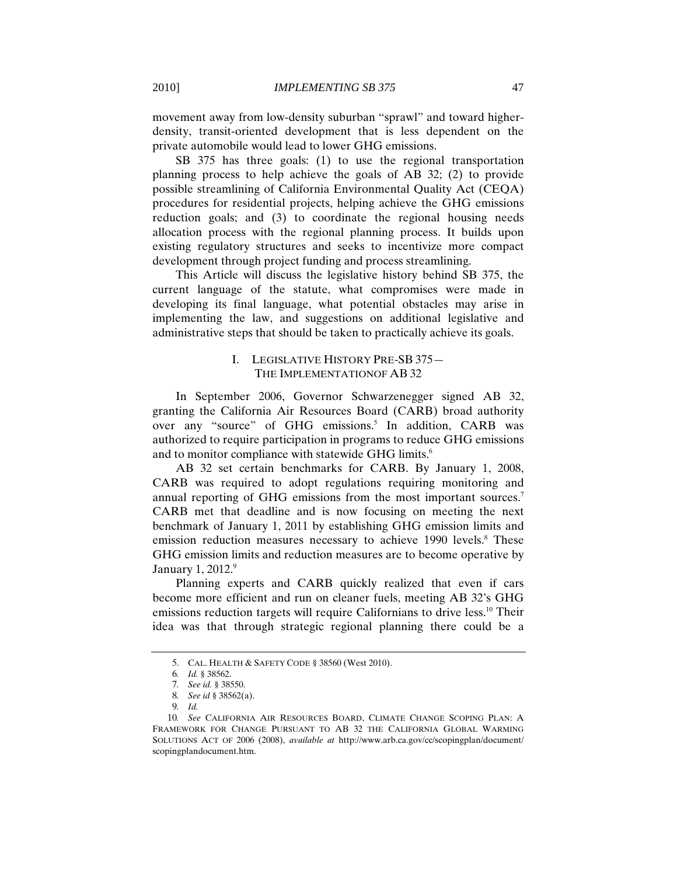movement away from low-density suburban "sprawl" and toward higherdensity, transit-oriented development that is less dependent on the private automobile would lead to lower GHG emissions.

SB 375 has three goals: (1) to use the regional transportation planning process to help achieve the goals of AB 32; (2) to provide possible streamlining of California Environmental Quality Act (CEQA) procedures for residential projects, helping achieve the GHG emissions reduction goals; and (3) to coordinate the regional housing needs allocation process with the regional planning process. It builds upon existing regulatory structures and seeks to incentivize more compact development through project funding and process streamlining.

This Article will discuss the legislative history behind SB 375, the current language of the statute, what compromises were made in developing its final language, what potential obstacles may arise in implementing the law, and suggestions on additional legislative and administrative steps that should be taken to practically achieve its goals.

# I. LEGISLATIVE HISTORY PRE-SB 375— THE IMPLEMENTATIONOF AB 32

In September 2006, Governor Schwarzenegger signed AB 32, granting the California Air Resources Board (CARB) broad authority over any "source" of GHG emissions.<sup>5</sup> In addition, CARB was authorized to require participation in programs to reduce GHG emissions and to monitor compliance with statewide GHG limits.<sup>6</sup>

AB 32 set certain benchmarks for CARB. By January 1, 2008, CARB was required to adopt regulations requiring monitoring and annual reporting of GHG emissions from the most important sources.<sup>7</sup> CARB met that deadline and is now focusing on meeting the next benchmark of January 1, 2011 by establishing GHG emission limits and emission reduction measures necessary to achieve 1990 levels.<sup>8</sup> These GHG emission limits and reduction measures are to become operative by January 1, 2012.<sup>9</sup>

Planning experts and CARB quickly realized that even if cars become more efficient and run on cleaner fuels, meeting AB 32's GHG emissions reduction targets will require Californians to drive less.<sup>10</sup> Their idea was that through strategic regional planning there could be a

<sup>5.</sup> CAL. HEALTH & SAFETY CODE § 38560 (West 2010).

<sup>6</sup>*. Id.* § 38562.

<sup>7</sup>*. See id.* § 38550.

<sup>8</sup>*. See id* § 38562(a).

<sup>9</sup>*. Id.*

<sup>10</sup>*. See* CALIFORNIA AIR RESOURCES BOARD, CLIMATE CHANGE SCOPING PLAN: A FRAMEWORK FOR CHANGE PURSUANT TO AB 32 THE CALIFORNIA GLOBAL WARMING SOLUTIONS ACT OF 2006 (2008), *available at* http://www.arb.ca.gov/cc/scopingplan/document/ scopingplandocument.htm.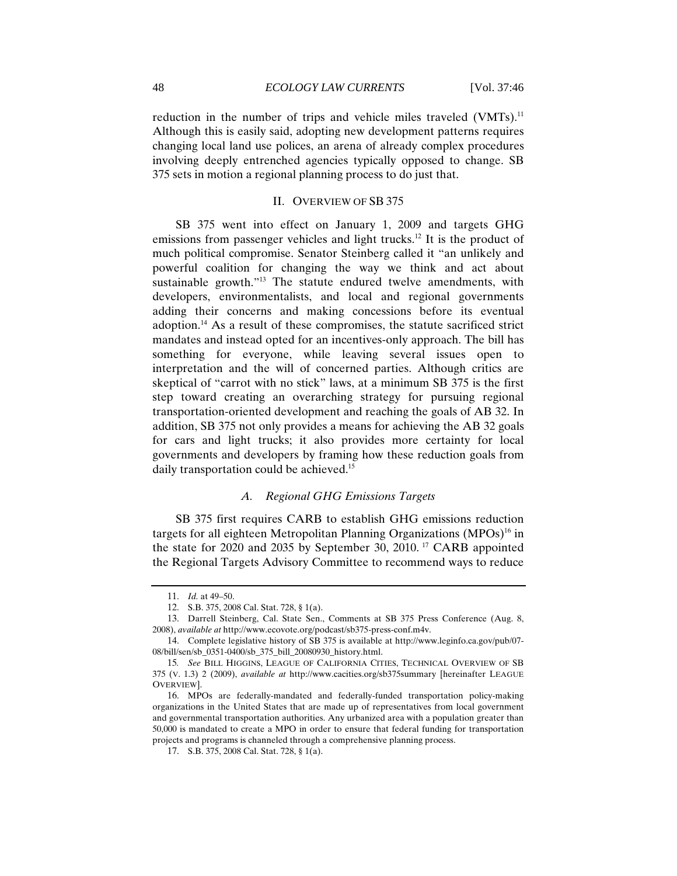reduction in the number of trips and vehicle miles traveled (VMTs).<sup>11</sup> Although this is easily said, adopting new development patterns requires changing local land use polices, an arena of already complex procedures involving deeply entrenched agencies typically opposed to change. SB 375 sets in motion a regional planning process to do just that.

## II. OVERVIEW OF SB 375

SB 375 went into effect on January 1, 2009 and targets GHG emissions from passenger vehicles and light trucks.<sup>12</sup> It is the product of much political compromise. Senator Steinberg called it "an unlikely and powerful coalition for changing the way we think and act about sustainable growth."<sup>13</sup> The statute endured twelve amendments, with developers, environmentalists, and local and regional governments adding their concerns and making concessions before its eventual adoption.14 As a result of these compromises, the statute sacrificed strict mandates and instead opted for an incentives-only approach. The bill has something for everyone, while leaving several issues open to interpretation and the will of concerned parties. Although critics are skeptical of "carrot with no stick" laws, at a minimum SB 375 is the first step toward creating an overarching strategy for pursuing regional transportation-oriented development and reaching the goals of AB 32. In addition, SB 375 not only provides a means for achieving the AB 32 goals for cars and light trucks; it also provides more certainty for local governments and developers by framing how these reduction goals from daily transportation could be achieved.<sup>15</sup>

#### *A. Regional GHG Emissions Targets*

SB 375 first requires CARB to establish GHG emissions reduction targets for all eighteen Metropolitan Planning Organizations  $(MPOs)^{16}$  in the state for 2020 and 2035 by September 30, 2010. 17 CARB appointed the Regional Targets Advisory Committee to recommend ways to reduce

<sup>11.</sup> *Id.* at 49–50.

<sup>12.</sup> S.B. 375, 2008 Cal. Stat. 728, § 1(a).

<sup>13.</sup> Darrell Steinberg, Cal. State Sen., Comments at SB 375 Press Conference (Aug. 8, 2008), *available at* http://www.ecovote.org/podcast/sb375-press-conf.m4v.

<sup>14.</sup> Complete legislative history of SB 375 is available at http://www.leginfo.ca.gov/pub/07- 08/bill/sen/sb\_0351-0400/sb\_375\_bill\_20080930\_history.html.

<sup>15</sup>*. See* BILL HIGGINS, LEAGUE OF CALIFORNIA CITIES, TECHNICAL OVERVIEW OF SB 375 (V. 1.3) 2 (2009), *available at* http://www.cacities.org/sb375summary [hereinafter LEAGUE OVERVIEW].

<sup>16.</sup> MPOs are federally-mandated and federally-funded transportation policy-making organizations in the United States that are made up of representatives from local government and governmental transportation authorities. Any urbanized area with a population greater than 50,000 is mandated to create a MPO in order to ensure that federal funding for transportation projects and programs is channeled through a comprehensive planning process.

<sup>17.</sup> S.B. 375, 2008 Cal. Stat. 728, § 1(a).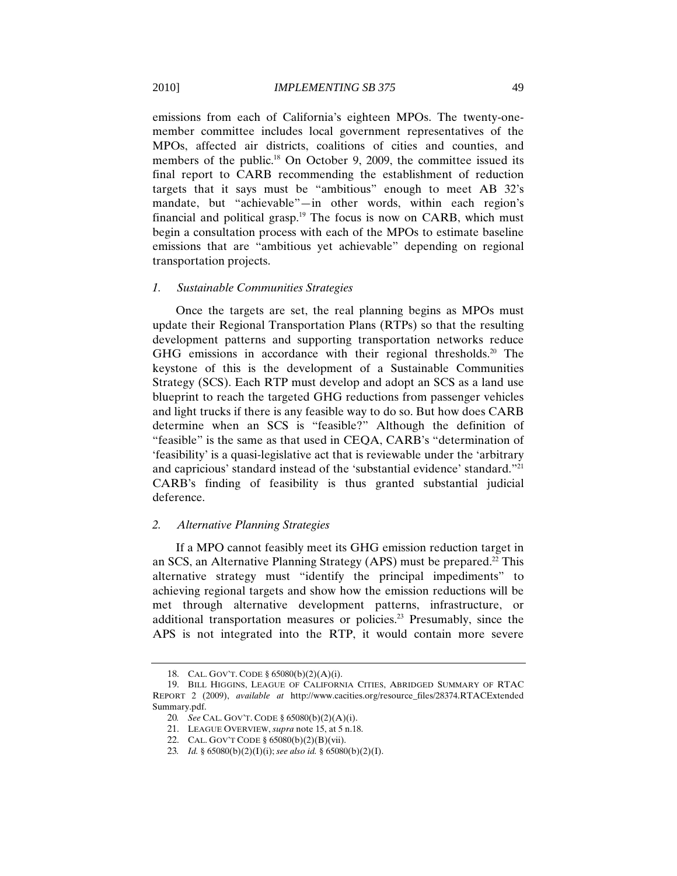emissions from each of California's eighteen MPOs. The twenty-onemember committee includes local government representatives of the MPOs, affected air districts, coalitions of cities and counties, and members of the public.<sup>18</sup> On October 9, 2009, the committee issued its final report to CARB recommending the establishment of reduction targets that it says must be "ambitious" enough to meet AB 32's mandate, but "achievable"—in other words, within each region's financial and political grasp.<sup>19</sup> The focus is now on CARB, which must begin a consultation process with each of the MPOs to estimate baseline emissions that are "ambitious yet achievable" depending on regional transportation projects.

#### *1. Sustainable Communities Strategies*

Once the targets are set, the real planning begins as MPOs must update their Regional Transportation Plans (RTPs) so that the resulting development patterns and supporting transportation networks reduce GHG emissions in accordance with their regional thresholds.<sup>20</sup> The keystone of this is the development of a Sustainable Communities Strategy (SCS). Each RTP must develop and adopt an SCS as a land use blueprint to reach the targeted GHG reductions from passenger vehicles and light trucks if there is any feasible way to do so. But how does CARB determine when an SCS is "feasible?" Although the definition of "feasible" is the same as that used in CEQA, CARB's "determination of 'feasibility' is a quasi-legislative act that is reviewable under the 'arbitrary and capricious' standard instead of the 'substantial evidence' standard."21 CARB's finding of feasibility is thus granted substantial judicial deference.

## *2. Alternative Planning Strategies*

If a MPO cannot feasibly meet its GHG emission reduction target in an SCS, an Alternative Planning Strategy (APS) must be prepared.<sup>22</sup> This alternative strategy must "identify the principal impediments" to achieving regional targets and show how the emission reductions will be met through alternative development patterns, infrastructure, or additional transportation measures or policies.23 Presumably, since the APS is not integrated into the RTP, it would contain more severe

<sup>18.</sup> CAL. GOV'T. CODE § 65080(b)(2)(A)(i).

<sup>19.</sup> BILL HIGGINS, LEAGUE OF CALIFORNIA CITIES, ABRIDGED SUMMARY OF RTAC REPORT 2 (2009), *available at* http://www.cacities.org/resource\_files/28374.RTACExtended Summary.pdf.

<sup>20</sup>*. See* CAL. GOV'T. CODE § 65080(b)(2)(A)(i).

<sup>21.</sup> LEAGUE OVERVIEW, *supra* note 15, at 5 n.18.

<sup>22.</sup> CAL. GOV'T CODE § 65080(b)(2)(B)(vii).

<sup>23</sup>*. Id.* § 65080(b)(2)(I)(i); *see also id.* § 65080(b)(2)(I).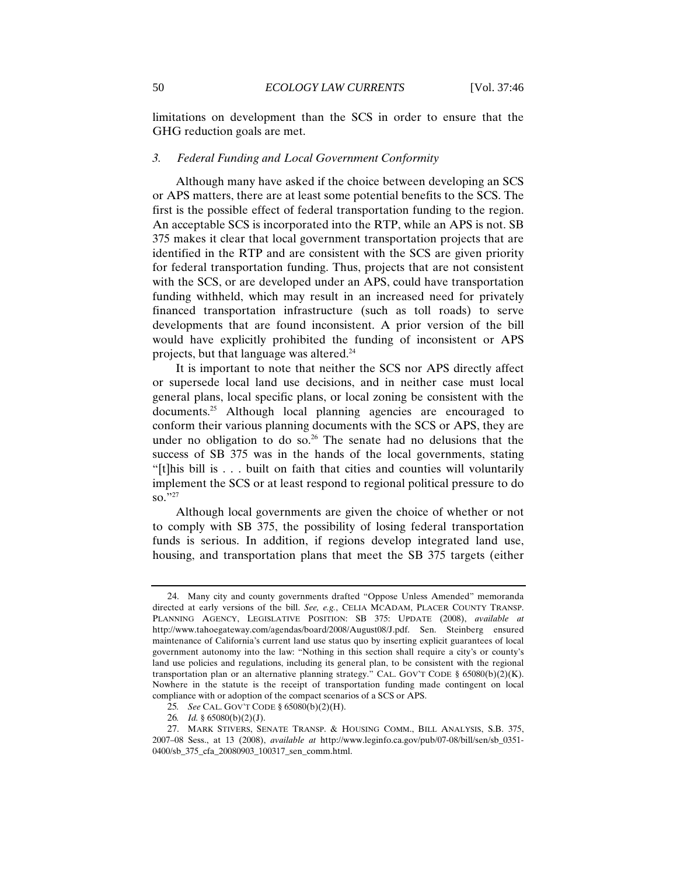limitations on development than the SCS in order to ensure that the GHG reduction goals are met.

## *3. Federal Funding and Local Government Conformity*

Although many have asked if the choice between developing an SCS or APS matters, there are at least some potential benefits to the SCS. The first is the possible effect of federal transportation funding to the region. An acceptable SCS is incorporated into the RTP, while an APS is not. SB 375 makes it clear that local government transportation projects that are identified in the RTP and are consistent with the SCS are given priority for federal transportation funding. Thus, projects that are not consistent with the SCS, or are developed under an APS, could have transportation funding withheld, which may result in an increased need for privately financed transportation infrastructure (such as toll roads) to serve developments that are found inconsistent. A prior version of the bill would have explicitly prohibited the funding of inconsistent or APS projects, but that language was altered.24

It is important to note that neither the SCS nor APS directly affect or supersede local land use decisions, and in neither case must local general plans, local specific plans, or local zoning be consistent with the documents.<sup>25</sup> Although local planning agencies are encouraged to conform their various planning documents with the SCS or APS, they are under no obligation to do so.<sup>26</sup> The senate had no delusions that the success of SB 375 was in the hands of the local governments, stating "[t]his bill is . . . built on faith that cities and counties will voluntarily implement the SCS or at least respond to regional political pressure to do so."27

Although local governments are given the choice of whether or not to comply with SB 375, the possibility of losing federal transportation funds is serious. In addition, if regions develop integrated land use, housing, and transportation plans that meet the SB 375 targets (either

<sup>24.</sup> Many city and county governments drafted "Oppose Unless Amended" memoranda directed at early versions of the bill. *See, e.g.*, CELIA MCADAM, PLACER COUNTY TRANSP. PLANNING AGENCY, LEGISLATIVE POSITION: SB 375: UPDATE (2008), *available at*  http://www.tahoegateway.com/agendas/board/2008/August08/J.pdf. Sen. Steinberg ensured maintenance of California's current land use status quo by inserting explicit guarantees of local government autonomy into the law: "Nothing in this section shall require a city's or county's land use policies and regulations, including its general plan, to be consistent with the regional transportation plan or an alternative planning strategy." CAL. GOV'T CODE §  $65080(b)(2)(K)$ . Nowhere in the statute is the receipt of transportation funding made contingent on local compliance with or adoption of the compact scenarios of a SCS or APS.

<sup>25</sup>*. See* CAL. GOV'T CODE § 65080(b)(2)(H).

<sup>26</sup>*. Id.* § 65080(b)(2)(J).

<sup>27.</sup> MARK STIVERS, SENATE TRANSP. & HOUSING COMM., BILL ANALYSIS, S.B. 375, 2007–08 Sess., at 13 (2008), *available at* http://www.leginfo.ca.gov/pub/07-08/bill/sen/sb\_0351- 0400/sb 375 cfa 20080903 100317 sen comm.html.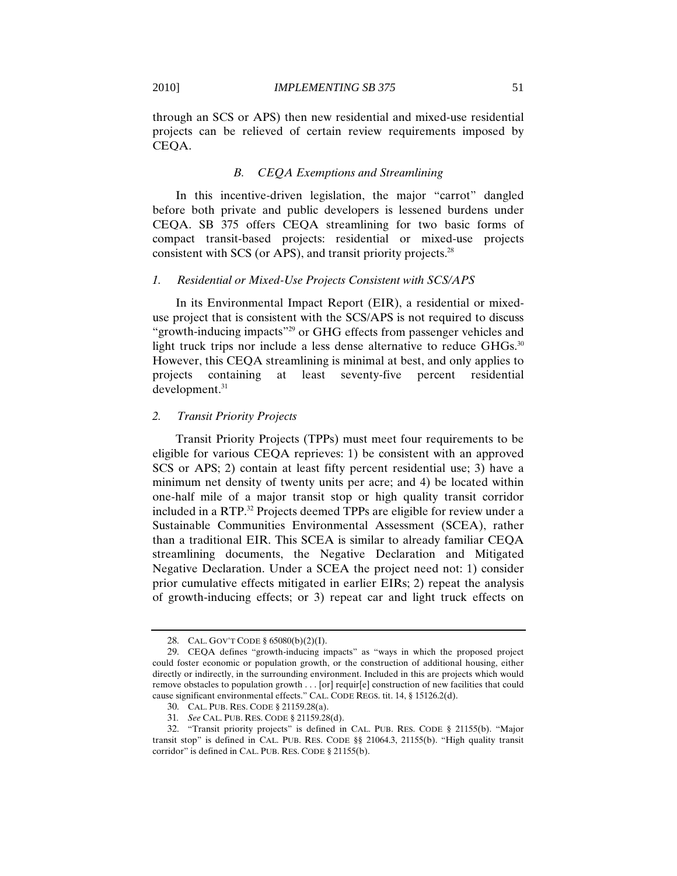through an SCS or APS) then new residential and mixed-use residential projects can be relieved of certain review requirements imposed by CEQA.

#### *B. CEQA Exemptions and Streamlining*

In this incentive-driven legislation, the major "carrot" dangled before both private and public developers is lessened burdens under CEQA. SB 375 offers CEQA streamlining for two basic forms of compact transit-based projects: residential or mixed-use projects consistent with SCS (or APS), and transit priority projects. $^{28}$ 

### *1. Residential or Mixed-Use Projects Consistent with SCS/APS*

In its Environmental Impact Report (EIR), a residential or mixeduse project that is consistent with the SCS/APS is not required to discuss "growth-inducing impacts"29 or GHG effects from passenger vehicles and light truck trips nor include a less dense alternative to reduce GHGs.<sup>30</sup> However, this CEQA streamlining is minimal at best, and only applies to projects containing at least seventy-five percent residential development.<sup>31</sup>

# *2. Transit Priority Projects*

Transit Priority Projects (TPPs) must meet four requirements to be eligible for various CEQA reprieves: 1) be consistent with an approved SCS or APS; 2) contain at least fifty percent residential use; 3) have a minimum net density of twenty units per acre; and 4) be located within one-half mile of a major transit stop or high quality transit corridor included in a RTP.<sup>32</sup> Projects deemed TPPs are eligible for review under a Sustainable Communities Environmental Assessment (SCEA), rather than a traditional EIR. This SCEA is similar to already familiar CEQA streamlining documents, the Negative Declaration and Mitigated Negative Declaration. Under a SCEA the project need not: 1) consider prior cumulative effects mitigated in earlier EIRs; 2) repeat the analysis of growth-inducing effects; or 3) repeat car and light truck effects on

<sup>28.</sup> CAL. GOV'T CODE § 65080(b)(2)(I).

<sup>29.</sup> CEQA defines "growth-inducing impacts" as "ways in which the proposed project could foster economic or population growth, or the construction of additional housing, either directly or indirectly, in the surrounding environment. Included in this are projects which would remove obstacles to population growth . . . [or] requir[e] construction of new facilities that could cause significant environmental effects." CAL. CODE REGS. tit. 14, § 15126.2(d).

<sup>30.</sup> CAL. PUB. RES. CODE § 21159.28(a).

<sup>31</sup>*. See* CAL. PUB. RES. CODE § 21159.28(d).

<sup>32. &</sup>quot;Transit priority projects" is defined in CAL. PUB. RES. CODE § 21155(b). "Major transit stop" is defined in CAL. PUB. RES. CODE §§ 21064.3, 21155(b). "High quality transit corridor" is defined in CAL. PUB. RES. CODE § 21155(b).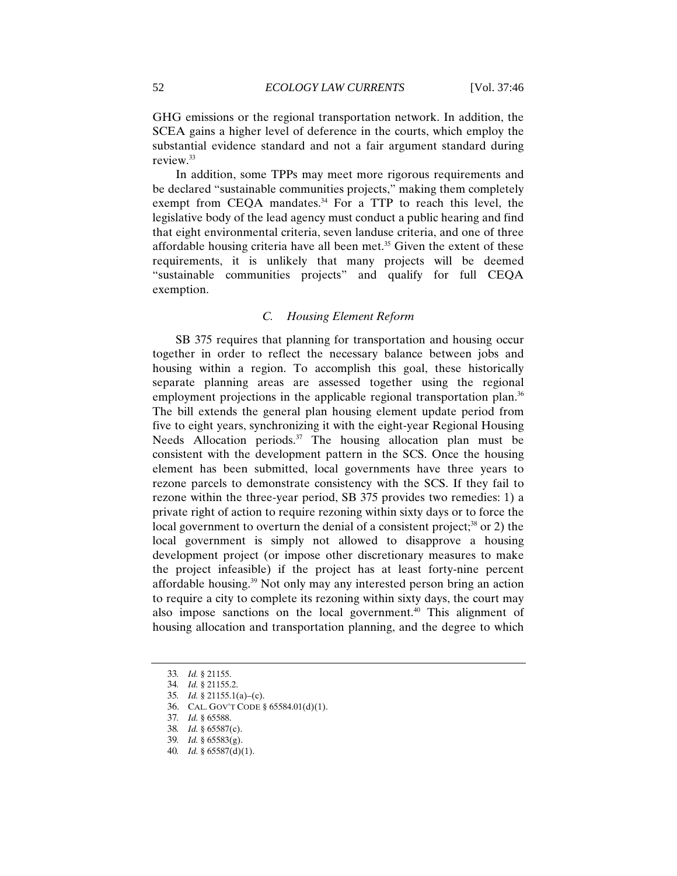GHG emissions or the regional transportation network. In addition, the SCEA gains a higher level of deference in the courts, which employ the substantial evidence standard and not a fair argument standard during review.33

In addition, some TPPs may meet more rigorous requirements and be declared "sustainable communities projects," making them completely exempt from CEQA mandates. $34$  For a TTP to reach this level, the legislative body of the lead agency must conduct a public hearing and find that eight environmental criteria, seven landuse criteria, and one of three affordable housing criteria have all been met.<sup>35</sup> Given the extent of these requirements, it is unlikely that many projects will be deemed "sustainable communities projects" and qualify for full CEQA exemption.

# *C. Housing Element Reform*

SB 375 requires that planning for transportation and housing occur together in order to reflect the necessary balance between jobs and housing within a region. To accomplish this goal, these historically separate planning areas are assessed together using the regional employment projections in the applicable regional transportation plan.<sup>36</sup> The bill extends the general plan housing element update period from five to eight years, synchronizing it with the eight-year Regional Housing Needs Allocation periods. $37$  The housing allocation plan must be consistent with the development pattern in the SCS. Once the housing element has been submitted, local governments have three years to rezone parcels to demonstrate consistency with the SCS. If they fail to rezone within the three-year period, SB 375 provides two remedies: 1) a private right of action to require rezoning within sixty days or to force the local government to overturn the denial of a consistent project;<sup>38</sup> or 2) the local government is simply not allowed to disapprove a housing development project (or impose other discretionary measures to make the project infeasible) if the project has at least forty-nine percent affordable housing.39 Not only may any interested person bring an action to require a city to complete its rezoning within sixty days, the court may also impose sanctions on the local government.<sup>40</sup> This alignment of housing allocation and transportation planning, and the degree to which

<sup>33</sup>*. Id.* § 21155.

<sup>34</sup>*. Id.* § 21155.2.

<sup>35</sup>*. Id.* § 21155.1(a)–(c).

<sup>36.</sup> CAL. GOV'T CODE § 65584.01(d)(1).

<sup>37</sup>*. Id.* § 65588.

<sup>38</sup>*. Id.* § 65587(c).

<sup>39</sup>*. Id.* § 65583(g).

<sup>40</sup>*. Id.* § 65587(d)(1).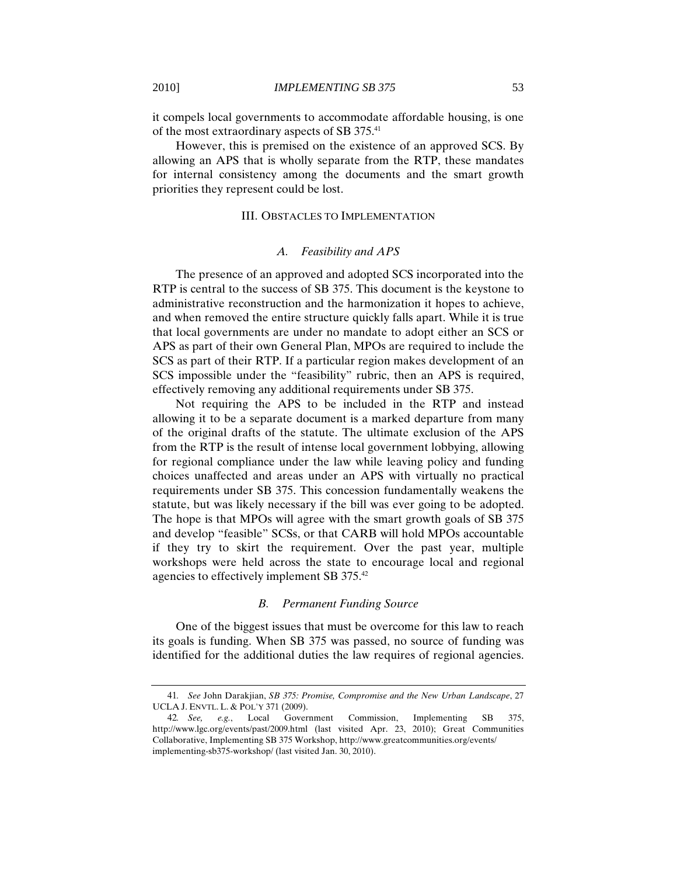it compels local governments to accommodate affordable housing, is one of the most extraordinary aspects of SB 375.41

However, this is premised on the existence of an approved SCS. By allowing an APS that is wholly separate from the RTP, these mandates for internal consistency among the documents and the smart growth priorities they represent could be lost.

#### III. OBSTACLES TO IMPLEMENTATION

#### *A. Feasibility and APS*

The presence of an approved and adopted SCS incorporated into the RTP is central to the success of SB 375. This document is the keystone to administrative reconstruction and the harmonization it hopes to achieve, and when removed the entire structure quickly falls apart. While it is true that local governments are under no mandate to adopt either an SCS or APS as part of their own General Plan, MPOs are required to include the SCS as part of their RTP. If a particular region makes development of an SCS impossible under the "feasibility" rubric, then an APS is required, effectively removing any additional requirements under SB 375.

Not requiring the APS to be included in the RTP and instead allowing it to be a separate document is a marked departure from many of the original drafts of the statute. The ultimate exclusion of the APS from the RTP is the result of intense local government lobbying, allowing for regional compliance under the law while leaving policy and funding choices unaffected and areas under an APS with virtually no practical requirements under SB 375. This concession fundamentally weakens the statute, but was likely necessary if the bill was ever going to be adopted. The hope is that MPOs will agree with the smart growth goals of SB 375 and develop "feasible" SCSs, or that CARB will hold MPOs accountable if they try to skirt the requirement. Over the past year, multiple workshops were held across the state to encourage local and regional agencies to effectively implement SB 375.42

## *B. Permanent Funding Source*

One of the biggest issues that must be overcome for this law to reach its goals is funding. When SB 375 was passed, no source of funding was identified for the additional duties the law requires of regional agencies.

<sup>41</sup>*. See* John Darakjian, *SB 375: Promise, Compromise and the New Urban Landscape*, 27 UCLA J. ENVTL. L. & POL'Y 371 (2009).

<sup>42</sup>*. See, e.g.*, Local Government Commission, Implementing SB 375, http://www.lgc.org/events/past/2009.html (last visited Apr. 23, 2010); Great Communities Collaborative, Implementing SB 375 Workshop, http://www.greatcommunities.org/events/ implementing-sb375-workshop/ (last visited Jan. 30, 2010).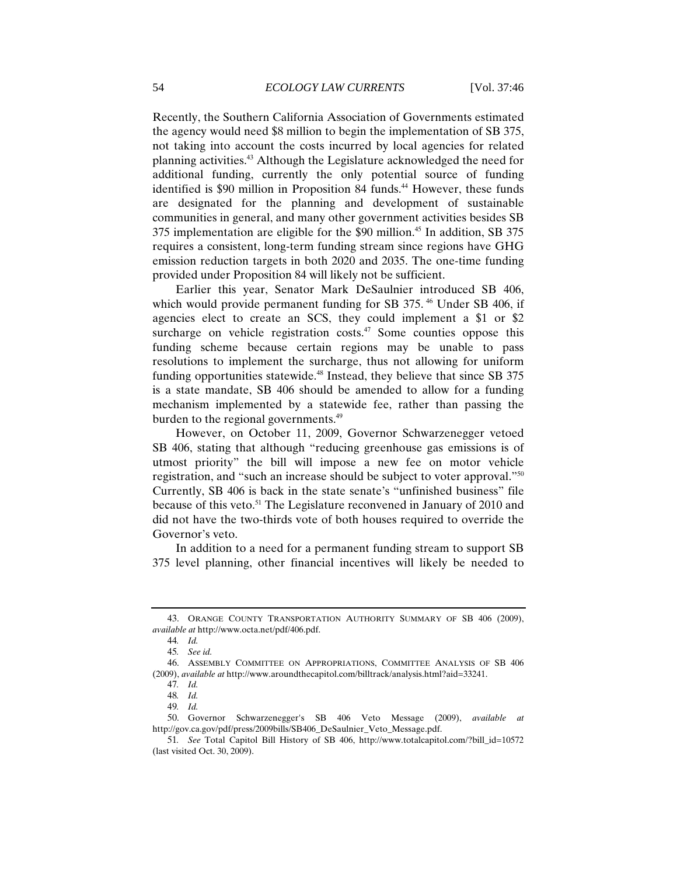Recently, the Southern California Association of Governments estimated the agency would need \$8 million to begin the implementation of SB 375, not taking into account the costs incurred by local agencies for related planning activities.43 Although the Legislature acknowledged the need for additional funding, currently the only potential source of funding identified is \$90 million in Proposition 84 funds.<sup>44</sup> However, these funds are designated for the planning and development of sustainable communities in general, and many other government activities besides SB 375 implementation are eligible for the \$90 million.45 In addition, SB 375 requires a consistent, long-term funding stream since regions have GHG emission reduction targets in both 2020 and 2035. The one-time funding provided under Proposition 84 will likely not be sufficient.

Earlier this year, Senator Mark DeSaulnier introduced SB 406, which would provide permanent funding for SB 375.<sup>46</sup> Under SB 406, if agencies elect to create an SCS, they could implement a \$1 or \$2 surcharge on vehicle registration costs. $47$  Some counties oppose this funding scheme because certain regions may be unable to pass resolutions to implement the surcharge, thus not allowing for uniform funding opportunities statewide.<sup>48</sup> Instead, they believe that since SB 375 is a state mandate, SB 406 should be amended to allow for a funding mechanism implemented by a statewide fee, rather than passing the burden to the regional governments.<sup>49</sup>

However, on October 11, 2009, Governor Schwarzenegger vetoed SB 406, stating that although "reducing greenhouse gas emissions is of utmost priority" the bill will impose a new fee on motor vehicle registration, and "such an increase should be subject to voter approval."50 Currently, SB 406 is back in the state senate's "unfinished business" file because of this veto.<sup>51</sup> The Legislature reconvened in January of 2010 and did not have the two-thirds vote of both houses required to override the Governor's veto.

In addition to a need for a permanent funding stream to support SB 375 level planning, other financial incentives will likely be needed to

<sup>43.</sup> ORANGE COUNTY TRANSPORTATION AUTHORITY SUMMARY OF SB 406 (2009), *available at* http://www.octa.net/pdf/406.pdf.

<sup>44</sup>*. Id.* 

<sup>45</sup>*. See id.*

<sup>46.</sup> ASSEMBLY COMMITTEE ON APPROPRIATIONS, COMMITTEE ANALYSIS OF SB 406 (2009), *available at* http://www.aroundthecapitol.com/billtrack/analysis.html?aid=33241.

<sup>47</sup>*. Id.*

<sup>48</sup>*. Id.*

<sup>49</sup>*. Id.*

<sup>50.</sup> Governor Schwarzenegger's SB 406 Veto Message (2009), *available at*  http://gov.ca.gov/pdf/press/2009bills/SB406\_DeSaulnier\_Veto\_Message.pdf.

<sup>51</sup>*. See* Total Capitol Bill History of SB 406, http://www.totalcapitol.com/?bill\_id=10572 (last visited Oct. 30, 2009).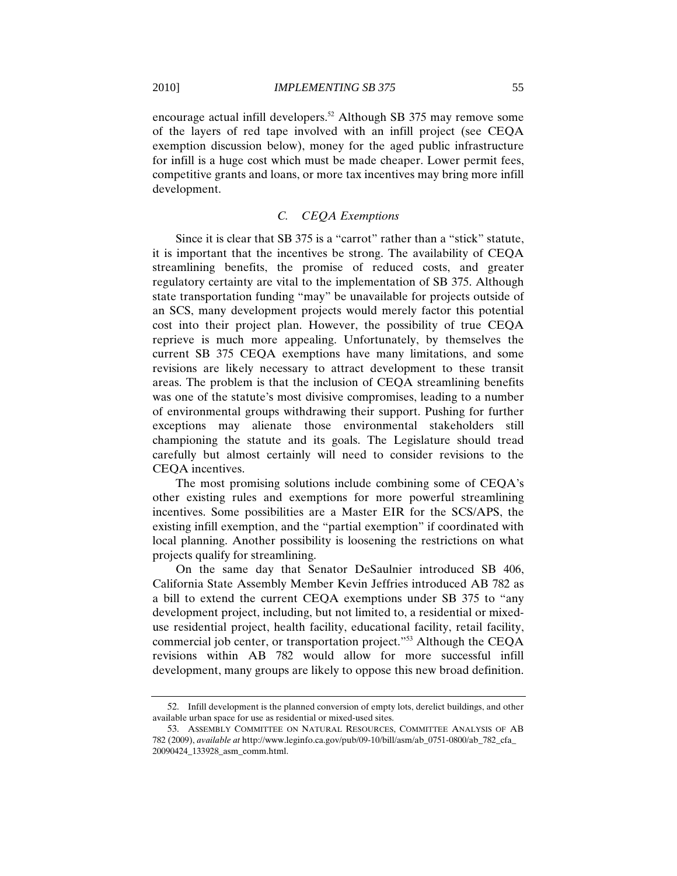encourage actual infill developers.52 Although SB 375 may remove some of the layers of red tape involved with an infill project (see CEQA exemption discussion below), money for the aged public infrastructure for infill is a huge cost which must be made cheaper. Lower permit fees, competitive grants and loans, or more tax incentives may bring more infill development.

## *C. CEQA Exemptions*

Since it is clear that SB 375 is a "carrot" rather than a "stick" statute, it is important that the incentives be strong. The availability of CEQA streamlining benefits, the promise of reduced costs, and greater regulatory certainty are vital to the implementation of SB 375. Although state transportation funding "may" be unavailable for projects outside of an SCS, many development projects would merely factor this potential cost into their project plan. However, the possibility of true CEQA reprieve is much more appealing. Unfortunately, by themselves the current SB 375 CEQA exemptions have many limitations, and some revisions are likely necessary to attract development to these transit areas. The problem is that the inclusion of CEQA streamlining benefits was one of the statute's most divisive compromises, leading to a number of environmental groups withdrawing their support. Pushing for further exceptions may alienate those environmental stakeholders still championing the statute and its goals. The Legislature should tread carefully but almost certainly will need to consider revisions to the CEQA incentives.

The most promising solutions include combining some of CEQA's other existing rules and exemptions for more powerful streamlining incentives. Some possibilities are a Master EIR for the SCS/APS, the existing infill exemption, and the "partial exemption" if coordinated with local planning. Another possibility is loosening the restrictions on what projects qualify for streamlining.

On the same day that Senator DeSaulnier introduced SB 406, California State Assembly Member Kevin Jeffries introduced AB 782 as a bill to extend the current CEQA exemptions under SB 375 to "any development project, including, but not limited to, a residential or mixeduse residential project, health facility, educational facility, retail facility, commercial job center, or transportation project."53 Although the CEQA revisions within AB 782 would allow for more successful infill development, many groups are likely to oppose this new broad definition.

<sup>52.</sup> Infill development is the planned conversion of empty lots, derelict buildings, and other available urban space for use as residential or mixed-used sites.

<sup>53.</sup> ASSEMBLY COMMITTEE ON NATURAL RESOURCES, COMMITTEE ANALYSIS OF AB 782 (2009), *available at* http://www.leginfo.ca.gov/pub/09-10/bill/asm/ab\_0751-0800/ab\_782\_cfa\_ 20090424\_133928\_asm\_comm.html.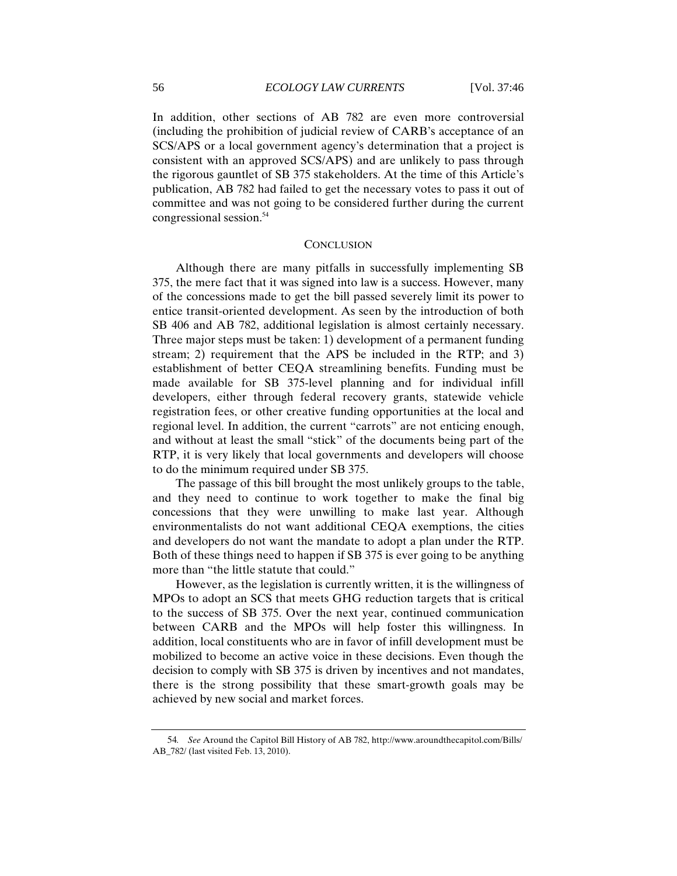In addition, other sections of AB 782 are even more controversial (including the prohibition of judicial review of CARB's acceptance of an SCS/APS or a local government agency's determination that a project is consistent with an approved SCS/APS) and are unlikely to pass through the rigorous gauntlet of SB 375 stakeholders. At the time of this Article's publication, AB 782 had failed to get the necessary votes to pass it out of committee and was not going to be considered further during the current congressional session.54

#### **CONCLUSION**

Although there are many pitfalls in successfully implementing SB 375, the mere fact that it was signed into law is a success. However, many of the concessions made to get the bill passed severely limit its power to entice transit-oriented development. As seen by the introduction of both SB 406 and AB 782, additional legislation is almost certainly necessary. Three major steps must be taken: 1) development of a permanent funding stream; 2) requirement that the APS be included in the RTP; and 3) establishment of better CEQA streamlining benefits. Funding must be made available for SB 375-level planning and for individual infill developers, either through federal recovery grants, statewide vehicle registration fees, or other creative funding opportunities at the local and regional level. In addition, the current "carrots" are not enticing enough, and without at least the small "stick" of the documents being part of the RTP, it is very likely that local governments and developers will choose to do the minimum required under SB 375.

The passage of this bill brought the most unlikely groups to the table, and they need to continue to work together to make the final big concessions that they were unwilling to make last year. Although environmentalists do not want additional CEQA exemptions, the cities and developers do not want the mandate to adopt a plan under the RTP. Both of these things need to happen if SB 375 is ever going to be anything more than "the little statute that could."

However, as the legislation is currently written, it is the willingness of MPOs to adopt an SCS that meets GHG reduction targets that is critical to the success of SB 375. Over the next year, continued communication between CARB and the MPOs will help foster this willingness. In addition, local constituents who are in favor of infill development must be mobilized to become an active voice in these decisions. Even though the decision to comply with SB 375 is driven by incentives and not mandates, there is the strong possibility that these smart-growth goals may be achieved by new social and market forces.

<sup>54</sup>*. See* Around the Capitol Bill History of AB 782, http://www.aroundthecapitol.com/Bills/ AB\_782/ (last visited Feb. 13, 2010).